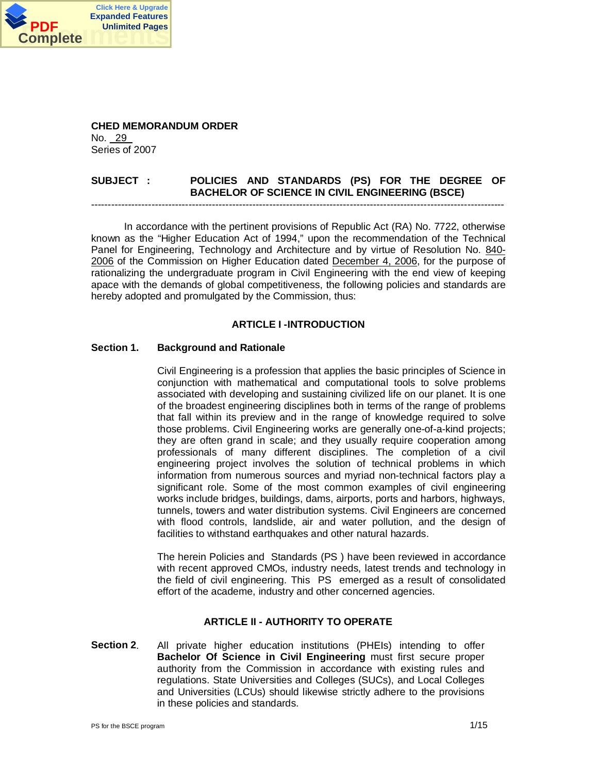

**CHED MEMORANDUM ORDER** No. \_29\_ Series of 2007

# **SUBJECT : POLICIES AND STANDARDS (PS) FOR THE DEGREE OF BACHELOR OF SCIENCE IN CIVIL ENGINEERING (BSCE)** ---------------------------------------------------------------------------------------------------------------------------

In accordance with the pertinent provisions of Republic Act (RA) No. 7722, otherwise known as the "Higher Education Act of 1994," upon the recommendation of the Technical Panel for Engineering, Technology and Architecture and by virtue of Resolution No. 840- 2006 of the Commission on Higher Education dated December 4, 2006, for the purpose of rationalizing the undergraduate program in Civil Engineering with the end view of keeping apace with the demands of global competitiveness, the following policies and standards are hereby adopted and promulgated by the Commission, thus:

#### **ARTICLE I -INTRODUCTION**

#### **Section 1. Background and Rationale**

Civil Engineering is a profession that applies the basic principles of Science in conjunction with mathematical and computational tools to solve problems associated with developing and sustaining civilized life on our planet. It is one of the broadest engineering disciplines both in terms of the range of problems that fall within its preview and in the range of knowledge required to solve those problems. Civil Engineering works are generally one-of-a-kind projects; they are often grand in scale; and they usually require cooperation among professionals of many different disciplines. The completion of a civil engineering project involves the solution of technical problems in which information from numerous sources and myriad non-technical factors play a significant role. Some of the most common examples of civil engineering works include bridges, buildings, dams, airports, ports and harbors, highways, tunnels, towers and water distribution systems. Civil Engineers are concerned with flood controls, landslide, air and water pollution, and the design of facilities to withstand earthquakes and other natural hazards.

The herein Policies and Standards (PS ) have been reviewed in accordance with recent approved CMOs, industry needs, latest trends and technology in the field of civil engineering. This PS emerged as a result of consolidated effort of the academe, industry and other concerned agencies.

#### **ARTICLE II - AUTHORITY TO OPERATE**

**Section 2**. All private higher education institutions (PHEIs) intending to offer **Bachelor Of Science in Civil Engineering** must first secure proper authority from the Commission in accordance with existing rules and regulations. State Universities and Colleges (SUCs), and Local Colleges and Universities (LCUs) should likewise strictly adhere to the provisions in these policies and standards.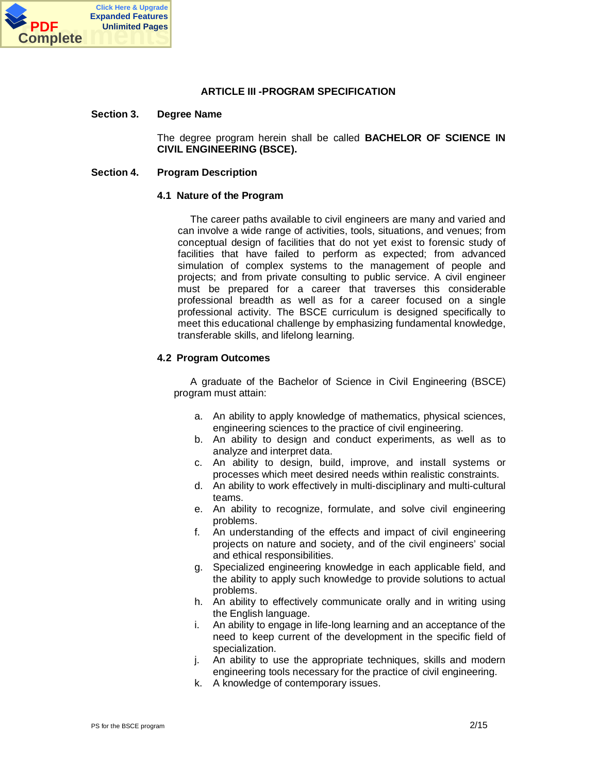

## **ARTICLE III -PROGRAM SPECIFICATION**

#### **Section 3. Degree Name**

The degree program herein shall be called **BACHELOR OF SCIENCE IN CIVIL ENGINEERING (BSCE).**

#### **Section 4. Program Description**

#### **4.1 Nature of the Program**

 The career paths available to civil engineers are many and varied and can involve a wide range of activities, tools, situations, and venues; from conceptual design of facilities that do not yet exist to forensic study of facilities that have failed to perform as expected; from advanced simulation of complex systems to the management of people and projects; and from private consulting to public service. A civil engineer must be prepared for a career that traverses this considerable professional breadth as well as for a career focused on a single professional activity. The BSCE curriculum is designed specifically to meet this educational challenge by emphasizing fundamental knowledge, transferable skills, and lifelong learning.

#### **4.2 Program Outcomes**

 A graduate of the Bachelor of Science in Civil Engineering (BSCE) program must attain:

- a. An ability to apply knowledge of mathematics, physical sciences, engineering sciences to the practice of civil engineering.
- b. An ability to design and conduct experiments, as well as to analyze and interpret data.
- c. An ability to design, build, improve, and install systems or processes which meet desired needs within realistic constraints.
- d. An ability to work effectively in multi-disciplinary and multi-cultural teams.
- e. An ability to recognize, formulate, and solve civil engineering problems.
- f. An understanding of the effects and impact of civil engineering projects on nature and society, and of the civil engineers' social and ethical responsibilities.
- g. Specialized engineering knowledge in each applicable field, and the ability to apply such knowledge to provide solutions to actual problems.
- h. An ability to effectively communicate orally and in writing using the English language.
- i. An ability to engage in life-long learning and an acceptance of the need to keep current of the development in the specific field of specialization.
- j. An ability to use the appropriate techniques, skills and modern engineering tools necessary for the practice of civil engineering.
- k. A knowledge of contemporary issues.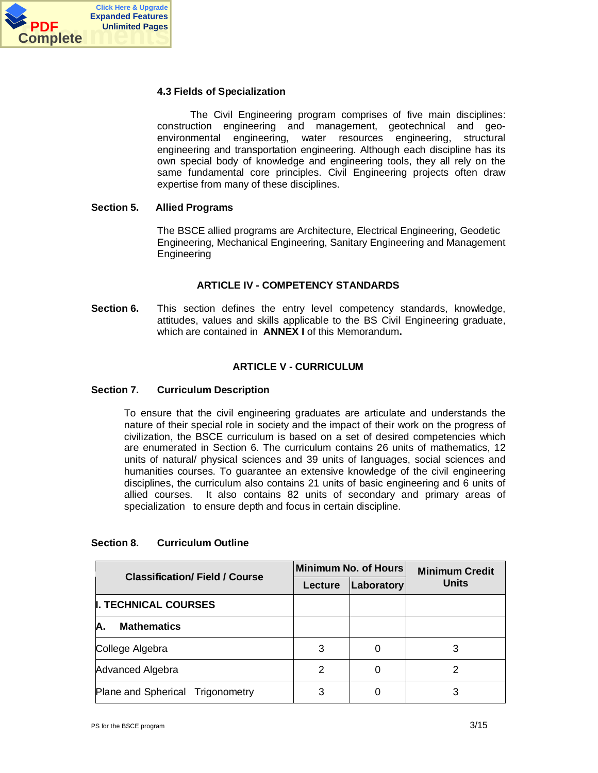

#### **4.3 Fields of Specialization**

 The Civil Engineering program comprises of five main disciplines: construction engineering and management, geotechnical and geoenvironmental engineering, water resources engineering, structural engineering and transportation engineering. Although each discipline has its own special body of knowledge and engineering tools, they all rely on the same fundamental core principles. Civil Engineering projects often draw expertise from many of these disciplines.

## **Section 5. Allied Programs**

The BSCE allied programs are Architecture, Electrical Engineering, Geodetic Engineering, Mechanical Engineering, Sanitary Engineering and Management Engineering

## **ARTICLE IV - COMPETENCY STANDARDS**

**Section 6.** This section defines the entry level competency standards, knowledge, attitudes, values and skills applicable to the BS Civil Engineering graduate, which are contained in **ANNEX I** of this Memorandum**.**

## **ARTICLE V - CURRICULUM**

#### **Section 7. Curriculum Description**

To ensure that the civil engineering graduates are articulate and understands the nature of their special role in society and the impact of their work on the progress of civilization, the BSCE curriculum is based on a set of desired competencies which are enumerated in Section 6. The curriculum contains 26 units of mathematics, 12 units of natural/ physical sciences and 39 units of languages, social sciences and humanities courses. To guarantee an extensive knowledge of the civil engineering disciplines, the curriculum also contains 21 units of basic engineering and 6 units of allied courses. It also contains 82 units of secondary and primary areas of specialization to ensure depth and focus in certain discipline.

| <b>Classification/Field / Course</b> |         | Minimum No. of Hours | <b>Minimum Credit</b><br><b>Units</b> |  |
|--------------------------------------|---------|----------------------|---------------------------------------|--|
|                                      | Lecture | Laboratory           |                                       |  |
| <b>II. TECHNICAL COURSES</b>         |         |                      |                                       |  |
| IA.<br><b>Mathematics</b>            |         |                      |                                       |  |
| College Algebra                      | 3       |                      |                                       |  |
| Advanced Algebra                     | 2       | 0                    | 2                                     |  |
| Plane and Spherical Trigonometry     | 3       |                      |                                       |  |

#### **Section 8. Curriculum Outline**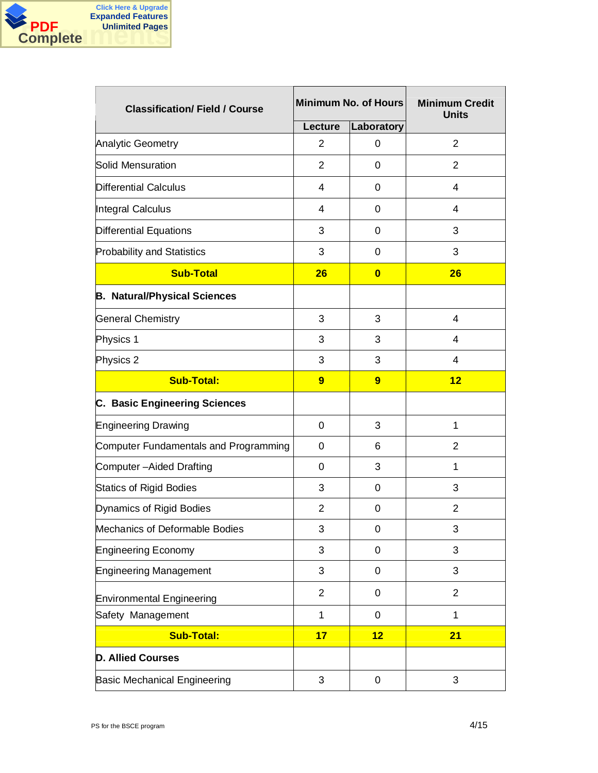

| <b>Classification/Field / Course</b>  |                | Minimum No. of Hours | <b>Minimum Credit</b><br><b>Units</b> |  |
|---------------------------------------|----------------|----------------------|---------------------------------------|--|
|                                       | <b>Lecture</b> | Laboratory           |                                       |  |
| <b>Analytic Geometry</b>              | $\overline{2}$ | 0                    | $\overline{2}$                        |  |
| Solid Mensuration                     | $\overline{2}$ | $\Omega$             | 2                                     |  |
| <b>Differential Calculus</b>          | 4              | $\Omega$             | 4                                     |  |
| Integral Calculus                     | 4              | $\Omega$             | $\overline{4}$                        |  |
| Differential Equations                | 3              | 0                    | 3                                     |  |
| <b>Probability and Statistics</b>     | 3              | $\Omega$             | 3                                     |  |
| <b>Sub-Total</b>                      | 26             | $\bf{0}$             | 26                                    |  |
| <b>B. Natural/Physical Sciences</b>   |                |                      |                                       |  |
| <b>General Chemistry</b>              | 3              | 3                    | $\overline{4}$                        |  |
| Physics 1                             | 3              | 3                    | $\overline{4}$                        |  |
| Physics 2                             | 3              | 3                    |                                       |  |
| <b>Sub-Total:</b>                     | 9              | 9                    | 12                                    |  |
| C. Basic Engineering Sciences         |                |                      |                                       |  |
| <b>Engineering Drawing</b>            | $\mathbf 0$    | 3                    | 1                                     |  |
| Computer Fundamentals and Programming | $\mathbf 0$    | 6                    | $\overline{2}$                        |  |
| Computer-Aided Drafting               | $\Omega$       | 3                    | 1                                     |  |
| <b>Statics of Rigid Bodies</b>        | 3              | $\Omega$             | 3                                     |  |
| Dynamics of Rigid Bodies              | $\overline{2}$ | 0                    | $\overline{2}$                        |  |
| Mechanics of Deformable Bodies        | 3              | 0                    | 3                                     |  |
| <b>Engineering Economy</b>            | 3              | 0                    | 3                                     |  |
| <b>Engineering Management</b>         | 3              | 0                    | 3                                     |  |
| <b>Environmental Engineering</b>      | $\overline{2}$ | 0                    | $\overline{2}$                        |  |
| Safety Management                     | 1              | 0                    | 1                                     |  |
| <b>Sub-Total:</b>                     | 17             | 12                   | 21                                    |  |
| <b>D. Allied Courses</b>              |                |                      |                                       |  |
| <b>Basic Mechanical Engineering</b>   | $\mathfrak{S}$ | 0                    | 3                                     |  |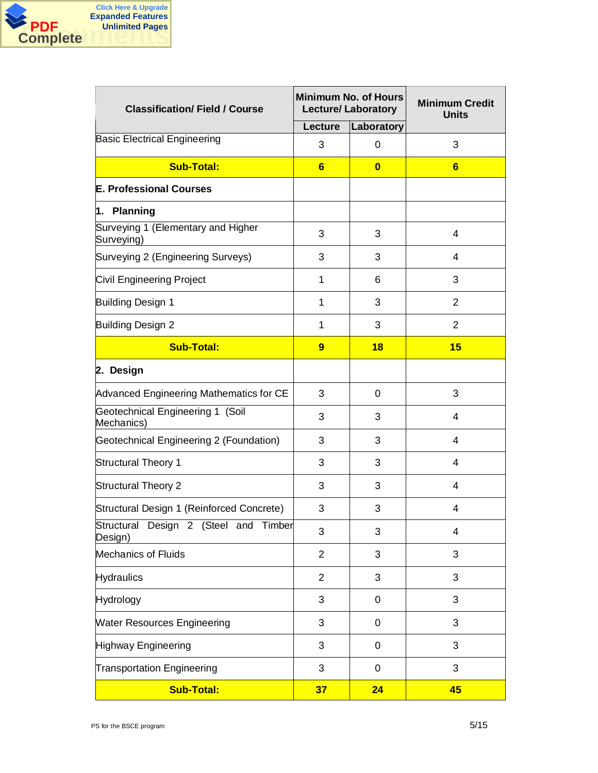

| <b>Classification/Field / Course</b>             |                | <b>Minimum No. of Hours</b><br><b>Lecture/ Laboratory</b> | <b>Minimum Credit</b><br><b>Units</b> |  |
|--------------------------------------------------|----------------|-----------------------------------------------------------|---------------------------------------|--|
|                                                  | <b>Lecture</b> | Laboratory                                                |                                       |  |
| <b>Basic Electrical Engineering</b>              | 3              | 0                                                         | 3                                     |  |
| <b>Sub-Total:</b>                                | $6\phantom{1}$ | $\bf{0}$                                                  | $6\phantom{1}6$                       |  |
| <b>E. Professional Courses</b>                   |                |                                                           |                                       |  |
| 1. Planning                                      |                |                                                           |                                       |  |
| Surveying 1 (Elementary and Higher<br>Surveying) | 3              | 3                                                         | 4                                     |  |
| Surveying 2 (Engineering Surveys)                | 3              | 3                                                         | 4                                     |  |
| Civil Engineering Project                        | 1              | 6                                                         | 3                                     |  |
| Building Design 1                                | 1              | 3                                                         | 2                                     |  |
| Building Design 2                                | 1              | 3                                                         | 2                                     |  |
| <b>Sub-Total:</b>                                | 9              | 18                                                        | 15                                    |  |
| 2. Design                                        |                |                                                           |                                       |  |
| Advanced Engineering Mathematics for CE          | 3              | $\Omega$                                                  | 3                                     |  |
| Geotechnical Engineering 1 (Soil<br>Mechanics)   | 3              | 3                                                         | 4                                     |  |
| Geotechnical Engineering 2 (Foundation)          | 3              | 3                                                         | $\overline{4}$                        |  |
| <b>Structural Theory 1</b>                       | 3              | 3                                                         | 4                                     |  |
| <b>Structural Theory 2</b>                       | 3              | 3                                                         | 4                                     |  |
| Structural Design 1 (Reinforced Concrete)        | 3              | 3                                                         | 4                                     |  |
| Structural Design 2 (Steel and Timber<br>Design) | 3              | 3                                                         | 4                                     |  |
| <b>Mechanics of Fluids</b>                       | $\overline{2}$ | 3                                                         | 3                                     |  |
| <b>Hydraulics</b>                                | $\overline{2}$ | 3                                                         | 3                                     |  |
| <b>Hydrology</b>                                 | 3              | 0                                                         | 3                                     |  |
| <b>Water Resources Engineering</b>               | 3              | 0                                                         | 3                                     |  |
| <b>Highway Engineering</b>                       | 3              | 0                                                         | 3                                     |  |
| <b>Transportation Engineering</b>                | 3              | 0                                                         | 3                                     |  |
| <b>Sub-Total:</b>                                | 37             | 24                                                        | 45                                    |  |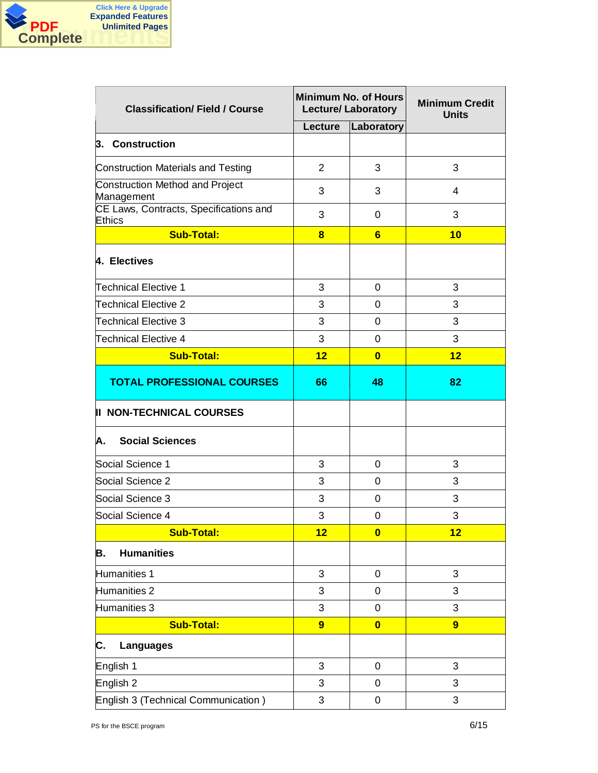

| <b>Classification/Field / Course</b>                    |                | <b>Minimum No. of Hours</b><br><b>Lecture/ Laboratory</b> | <b>Minimum Credit</b><br><b>Units</b> |  |
|---------------------------------------------------------|----------------|-----------------------------------------------------------|---------------------------------------|--|
|                                                         | Lecture        | Laboratory                                                |                                       |  |
| 3. Construction                                         |                |                                                           |                                       |  |
| Construction Materials and Testing                      | $\overline{2}$ | 3                                                         | 3                                     |  |
| Construction Method and Project<br>Management           | 3              | 3                                                         | 4                                     |  |
| CE Laws, Contracts, Specifications and<br><b>Ethics</b> | 3              | $\Omega$                                                  | 3                                     |  |
| <b>Sub-Total:</b>                                       | 8              | 6                                                         | 10                                    |  |
| 4. Electives                                            |                |                                                           |                                       |  |
| Technical Elective 1                                    | 3              | $\Omega$                                                  | 3                                     |  |
| <b>Technical Elective 2</b>                             | 3              | $\mathbf 0$                                               | 3                                     |  |
| Technical Elective 3                                    | 3              | 0                                                         | 3                                     |  |
| Technical Elective 4                                    | 3              | $\mathbf 0$                                               | 3                                     |  |
| <b>Sub-Total:</b>                                       | 12             | $\bf{0}$                                                  | 12                                    |  |
| <b>TOTAL PROFESSIONAL COURSES</b>                       | 66             | 48                                                        | 82                                    |  |
| <b>II NON-TECHNICAL COURSES</b>                         |                |                                                           |                                       |  |
| <b>Social Sciences</b><br>A.                            |                |                                                           |                                       |  |
| Social Science 1                                        | 3              | $\mathbf 0$                                               | 3                                     |  |
| Social Science 2                                        | 3              | $\mathbf 0$                                               | 3                                     |  |
| Social Science 3                                        | 3              | $\Omega$                                                  | 3                                     |  |
| Social Science 4                                        | 3              | 0                                                         | 3                                     |  |
| <b>Sub-Total:</b>                                       | 12             | $\overline{\mathbf{0}}$                                   | 12                                    |  |
| <b>Humanities</b><br>В.                                 |                |                                                           |                                       |  |
| Humanities 1                                            | 3              | $\mathbf 0$                                               | 3                                     |  |
| Humanities 2                                            | 3              | 0                                                         | 3                                     |  |
| Humanities 3                                            | 3              | 0                                                         | 3                                     |  |
| <b>Sub-Total:</b>                                       | $\overline{9}$ | $\bf{0}$                                                  | $\overline{9}$                        |  |
| С.<br><b>Languages</b>                                  |                |                                                           |                                       |  |
| English 1                                               | 3              | $\mathbf 0$                                               | 3                                     |  |
| English <sub>2</sub>                                    | 3              | 0                                                         | 3                                     |  |
| English 3 (Technical Communication)                     | 3              | $\mathbf 0$                                               | 3                                     |  |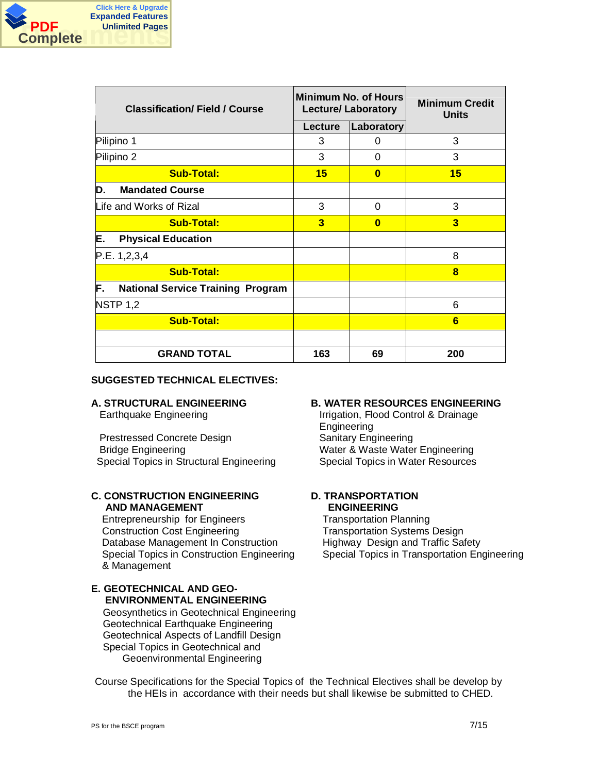

| <b>Classification/Field / Course</b>           |                         | <b>Minimum No. of Hours</b><br><b>Lecture/ Laboratory</b> | <b>Minimum Credit</b><br><b>Units</b> |  |
|------------------------------------------------|-------------------------|-----------------------------------------------------------|---------------------------------------|--|
|                                                | Lecture                 | Laboratory                                                |                                       |  |
| Pilipino 1                                     | 3                       | 0                                                         | 3                                     |  |
| Pilipino 2                                     | 3                       | $\Omega$                                                  | 3                                     |  |
| <b>Sub-Total:</b>                              | 15                      | $\Omega$                                                  | 15                                    |  |
| <b>Mandated Course</b><br>D.                   |                         |                                                           |                                       |  |
| Life and Works of Rizal                        | 3                       | $\Omega$                                                  | 3                                     |  |
| <b>Sub-Total:</b>                              | $\overline{\mathbf{3}}$ | $\bf{0}$                                                  | $\overline{\mathbf{3}}$               |  |
| E.<br><b>Physical Education</b>                |                         |                                                           |                                       |  |
| P.E. 1, 2, 3, 4                                |                         |                                                           | 8                                     |  |
| <b>Sub-Total:</b>                              |                         |                                                           | 8                                     |  |
| F.<br><b>National Service Training Program</b> |                         |                                                           |                                       |  |
| <b>NSTP 1,2</b>                                |                         |                                                           | 6                                     |  |
| <b>Sub-Total:</b>                              |                         |                                                           | 6                                     |  |
|                                                |                         |                                                           |                                       |  |
| <b>GRAND TOTAL</b>                             | 163                     | 69                                                        | 200                                   |  |

## **SUGGESTED TECHNICAL ELECTIVES:**

Prestressed Concrete Design Sanitary Engineering Bridge Engineering Water & Waste Water Engineering Special Topics in Structural Engineering Special Topics in Water Resources

# **C. CONSTRUCTION ENGINEERING AND MANAGEMENT**

Entrepreneurship for Engineers Transportation Planning Construction Cost Engineering Transportation Systems Design Database Management In Construction Highway Design and Traffic Safety Special Topics in Construction Engineering & Management

# **E. GEOTECHNICAL AND GEO- ENVIRONMENTAL ENGINEERING**

Geosynthetics in Geotechnical Engineering Geotechnical Earthquake Engineering Geotechnical Aspects of Landfill Design Special Topics in Geotechnical and Geoenvironmental Engineering

# **A. STRUCTURAL ENGINEERING B. WATER RESOURCES ENGINEERING**

Earthquake Engineering **Irrigation, Flood Control & Drainage** Engineering

# **D. TRANSPORTATION ENGINEERING**

Special Topics in Transportation Engineering

Course Specifications for the Special Topics of the Technical Electives shall be develop by the HEIs in accordance with their needs but shall likewise be submitted to CHED.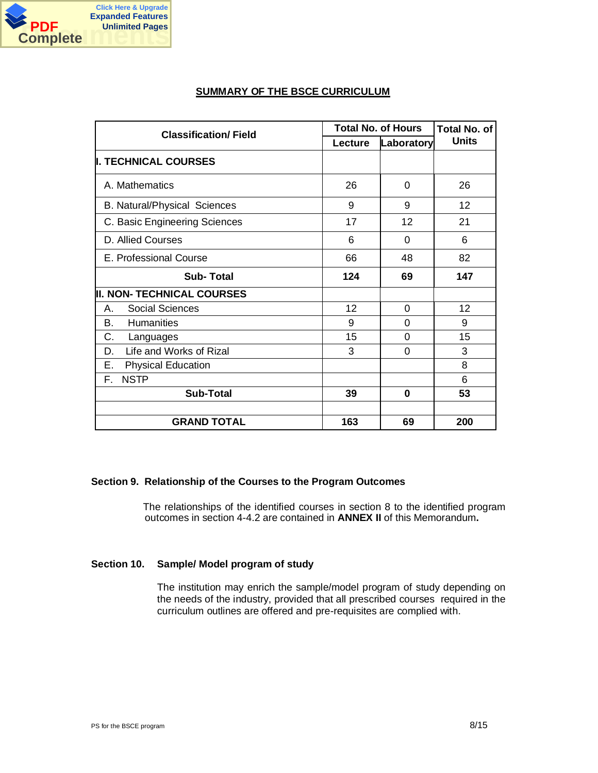

# **SUMMARY OF THE BSCE CURRICULUM**

| <b>Classification/Field</b>         |         | <b>Total No. of Hours</b> |              |  |
|-------------------------------------|---------|---------------------------|--------------|--|
|                                     | Lecture | Laboratory                | <b>Units</b> |  |
| <b>II. TECHNICAL COURSES</b>        |         |                           |              |  |
| A. Mathematics                      | 26      | 0                         | 26           |  |
| <b>B. Natural/Physical Sciences</b> | 9       | 9                         | 12           |  |
| C. Basic Engineering Sciences       | 17      | 12                        | 21           |  |
| D. Allied Courses                   | 6       | $\Omega$                  | 6            |  |
| E. Professional Course              | 66      | 48                        | 82           |  |
| <b>Sub-Total</b>                    | 124     | 69                        | 147          |  |
| <b>II. NON- TECHNICAL COURSES</b>   |         |                           |              |  |
| <b>Social Sciences</b><br>Α.        | 12      | 0                         | 12           |  |
| <b>Humanities</b><br>В.             | 9       | 0                         | 9            |  |
| С.<br>Languages                     | 15      | 0                         | 15           |  |
| Life and Works of Rizal<br>D.       | 3       | 0                         | 3            |  |
| Ε.<br><b>Physical Education</b>     |         |                           | 8            |  |
| <b>NSTP</b><br>F.                   |         |                           | 6            |  |
| <b>Sub-Total</b>                    | 39      | 0                         | 53           |  |
|                                     |         |                           |              |  |
| <b>GRAND TOTAL</b>                  | 163     | 69                        | 200          |  |

#### **Section 9. Relationship of the Courses to the Program Outcomes**

The relationships of the identified courses in section 8 to the identified program outcomes in section 4-4.2 are contained in **ANNEX II** of this Memorandum**.**

#### **Section 10. Sample/ Model program of study**

The institution may enrich the sample/model program of study depending on the needs of the industry, provided that all prescribed courses required in the curriculum outlines are offered and pre-requisites are complied with.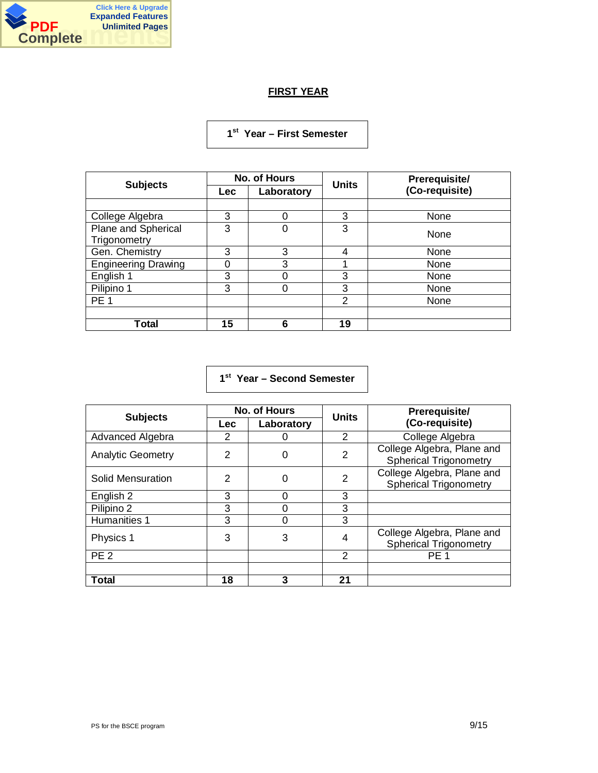

# **FIRST YEAR**

# **1 st Year – First Semester**

|                            |            | <b>No. of Hours</b> | <b>Units</b> | Prerequisite/  |
|----------------------------|------------|---------------------|--------------|----------------|
| <b>Subjects</b>            | <b>Lec</b> | Laboratory          |              | (Co-requisite) |
|                            |            |                     |              |                |
| College Algebra            | 3          | 0                   | 3            | None           |
| Plane and Spherical        | 3          | 0                   | 3            | None           |
| Trigonometry               |            |                     |              |                |
| Gen. Chemistry             | 3          | 3                   | 4            | None           |
| <b>Engineering Drawing</b> | 0          | 3                   |              | None           |
| English 1                  | 3          |                     | 3            | None           |
| Pilipino 1                 | 3          | ი                   | 3            | None           |
| PE <sub>1</sub>            |            |                     | 2            | None           |
|                            |            |                     |              |                |
| <b>Total</b>               | 15         | 6                   | 19           |                |

# **1 st Year – Second Semester**

| <b>Subjects</b>          |     | No. of Hours | <b>Units</b> | Prerequisite/                                               |
|--------------------------|-----|--------------|--------------|-------------------------------------------------------------|
|                          | Lec | Laboratory   |              | (Co-requisite)                                              |
| Advanced Algebra         | 2   |              | 2            | College Algebra                                             |
| <b>Analytic Geometry</b> | 2   | 0            | 2            | College Algebra, Plane and<br><b>Spherical Trigonometry</b> |
| Solid Mensuration        | 2   | 0            | 2            | College Algebra, Plane and<br><b>Spherical Trigonometry</b> |
| English 2                | 3   | ∩            | 3            |                                                             |
| Pilipino 2               | 3   |              | 3            |                                                             |
| Humanities 1             | 3   |              | 3            |                                                             |
| Physics 1                | 3   | 3            | 4            | College Algebra, Plane and<br><b>Spherical Trigonometry</b> |
| PE <sub>2</sub>          |     |              | 2            | PE <sub>1</sub>                                             |
|                          |     |              |              |                                                             |
| Total                    | 18  | 3            | 21           |                                                             |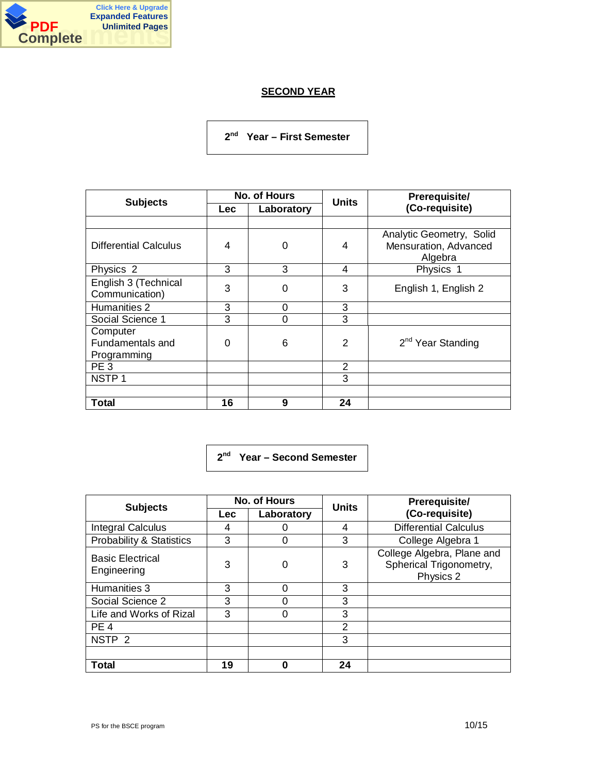

# **SECOND YEAR**

**2 nd Year – First Semester**

| <b>Subjects</b>                             |            | No. of Hours | <b>Units</b>   | Prerequisite/                                                |
|---------------------------------------------|------------|--------------|----------------|--------------------------------------------------------------|
|                                             | <b>Lec</b> | Laboratory   |                | (Co-requisite)                                               |
|                                             |            |              |                |                                                              |
| <b>Differential Calculus</b>                | 4          | 0            | 4              | Analytic Geometry, Solid<br>Mensuration, Advanced<br>Algebra |
| Physics 2                                   | 3          | 3            | 4              | Physics 1                                                    |
| English 3 (Technical<br>Communication)      | 3          | 0            | 3              | English 1, English 2                                         |
| Humanities 2                                | 3          | 0            | 3              |                                                              |
| Social Science 1                            | 3          | 0            | 3              |                                                              |
| Computer<br>Fundamentals and<br>Programming | $\Omega$   | 6            | 2              | 2 <sup>nd</sup> Year Standing                                |
| PE <sub>3</sub>                             |            |              | $\overline{2}$ |                                                              |
| NSTP <sub>1</sub>                           |            |              | 3              |                                                              |
|                                             |            |              |                |                                                              |
| Total                                       | 16         | 9            | 24             |                                                              |

**2 nd Year – Second Semester**

| <b>Subjects</b>                        |     | No. of Hours | <b>Units</b> | Prerequisite/                                                      |
|----------------------------------------|-----|--------------|--------------|--------------------------------------------------------------------|
|                                        | Lec | Laboratory   |              | (Co-requisite)                                                     |
| <b>Integral Calculus</b>               | 4   |              | 4            | <b>Differential Calculus</b>                                       |
| Probability & Statistics               | 3   | 0            | 3            | College Algebra 1                                                  |
| <b>Basic Electrical</b><br>Engineering | 3   | 0            | 3            | College Algebra, Plane and<br>Spherical Trigonometry,<br>Physics 2 |
| Humanities 3                           | 3   | 0            | 3            |                                                                    |
| Social Science 2                       | 3   |              | 3            |                                                                    |
| Life and Works of Rizal                | 3   |              | 3            |                                                                    |
| PE <sub>4</sub>                        |     |              | 2            |                                                                    |
| NSTP <sub>2</sub>                      |     |              | 3            |                                                                    |
|                                        |     |              |              |                                                                    |
| <b>Total</b>                           | 19  | 0            | 24           |                                                                    |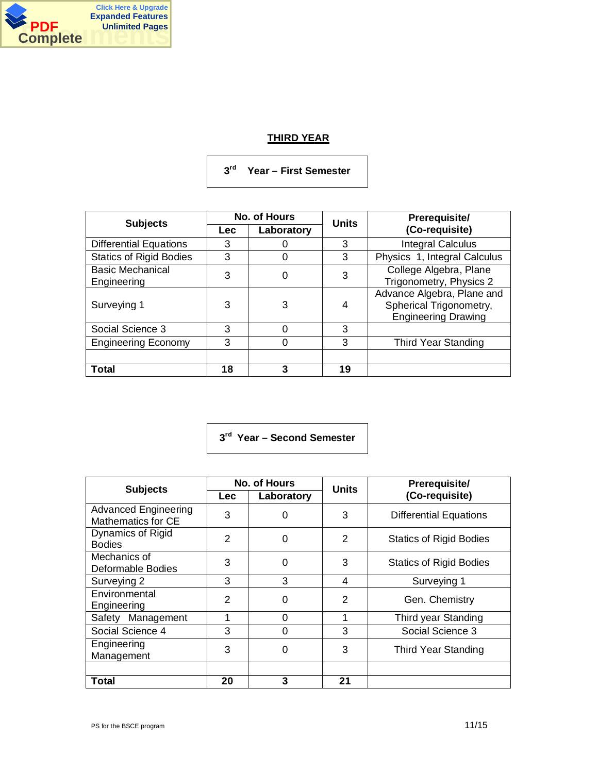

# **THIRD YEAR**

**3 rd Year – First Semester**

|                                        |            | No. of Hours | <b>Units</b> | Prerequisite/                                                                       |
|----------------------------------------|------------|--------------|--------------|-------------------------------------------------------------------------------------|
| <b>Subjects</b>                        | <b>Lec</b> | Laboratory   |              | (Co-requisite)                                                                      |
| <b>Differential Equations</b>          | 3          |              | 3            | <b>Integral Calculus</b>                                                            |
| <b>Statics of Rigid Bodies</b>         | 3          |              | 3            | Physics 1, Integral Calculus                                                        |
| <b>Basic Mechanical</b><br>Engineering | 3          | 0            | 3            | College Algebra, Plane<br>Trigonometry, Physics 2                                   |
| Surveying 1                            | 3          | 3            | 4            | Advance Algebra, Plane and<br>Spherical Trigonometry,<br><b>Engineering Drawing</b> |
| Social Science 3                       | 3          | ∩            | 3            |                                                                                     |
| <b>Engineering Economy</b>             | 3          |              | 3            | <b>Third Year Standing</b>                                                          |
|                                        |            |              |              |                                                                                     |
| Total                                  | 18         | 3            | 19           |                                                                                     |

**3 rd Year – Second Semester**

| <b>Subjects</b>                                   |                | <b>No. of Hours</b> | Units | Prerequisite/                  |
|---------------------------------------------------|----------------|---------------------|-------|--------------------------------|
|                                                   | <b>Lec</b>     | Laboratory          |       | (Co-requisite)                 |
| <b>Advanced Engineering</b><br>Mathematics for CE | 3              | 0                   | 3     | <b>Differential Equations</b>  |
| <b>Dynamics of Rigid</b><br><b>Bodies</b>         | $\overline{2}$ | 0                   | 2     | <b>Statics of Rigid Bodies</b> |
| Mechanics of<br>Deformable Bodies                 | 3              | $\Omega$            | 3     | <b>Statics of Rigid Bodies</b> |
| Surveying 2                                       | 3              | 3                   | 4     | Surveying 1                    |
| Environmental<br>Engineering                      | 2              | 0                   | 2     | Gen. Chemistry                 |
| Safety Management                                 |                | $\Omega$            |       | Third year Standing            |
| Social Science 4                                  | 3              | $\Omega$            | 3     | Social Science 3               |
| Engineering<br>Management                         | 3              | 0                   | 3     | Third Year Standing            |
|                                                   |                |                     |       |                                |
| Total                                             | 20             | 3                   | 21    |                                |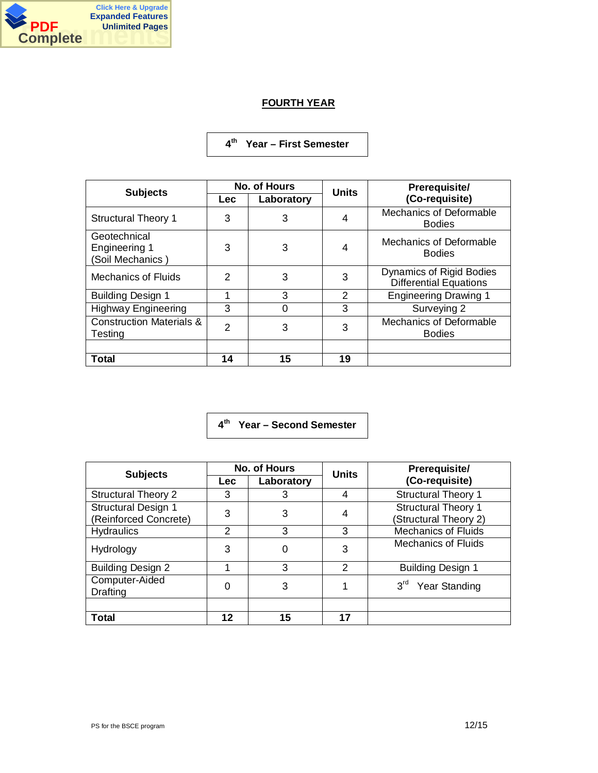

# **FOURTH YEAR**

# **4 th Year – First Semester**

| <b>Subjects</b>                                   | <b>No. of Hours</b> |            | <b>Units</b>   | Prerequisite/                                                    |
|---------------------------------------------------|---------------------|------------|----------------|------------------------------------------------------------------|
|                                                   | <b>Lec</b>          | Laboratory |                | (Co-requisite)                                                   |
| <b>Structural Theory 1</b>                        | 3                   | 3          | 4              | Mechanics of Deformable<br><b>Bodies</b>                         |
| Geotechnical<br>Engineering 1<br>(Soil Mechanics) | 3                   | 3          | 4              | Mechanics of Deformable<br><b>Bodies</b>                         |
| <b>Mechanics of Fluids</b>                        | 2                   | 3          | 3              | <b>Dynamics of Rigid Bodies</b><br><b>Differential Equations</b> |
| <b>Building Design 1</b>                          |                     | 3          | $\overline{2}$ | <b>Engineering Drawing 1</b>                                     |
| <b>Highway Engineering</b>                        | 3                   | 0          | 3              | Surveying 2                                                      |
| <b>Construction Materials &amp;</b><br>Testing    | $\mathfrak{p}$      | 3          | 3              | Mechanics of Deformable<br><b>Bodies</b>                         |
| Total                                             | 14                  | 15         | 19             |                                                                  |

**4 th Year – Second Semester**

| <b>Subjects</b>                                     | <b>No. of Hours</b> |            | <b>Units</b> | Prerequisite/                                       |
|-----------------------------------------------------|---------------------|------------|--------------|-----------------------------------------------------|
|                                                     | <b>Lec</b>          | Laboratory |              | (Co-requisite)                                      |
| <b>Structural Theory 2</b>                          | 3                   | 3          | 4            | <b>Structural Theory 1</b>                          |
| <b>Structural Design 1</b><br>(Reinforced Concrete) | 3                   | 3          | 4            | <b>Structural Theory 1</b><br>(Structural Theory 2) |
| <b>Hydraulics</b>                                   | $\overline{2}$      | 3          | 3            | <b>Mechanics of Fluids</b>                          |
| Hydrology                                           | 3                   |            | 3            | <b>Mechanics of Fluids</b>                          |
| <b>Building Design 2</b>                            |                     | 3          | 2            | <b>Building Design 1</b>                            |
| Computer-Aided<br><b>Drafting</b>                   | 0                   | 3          |              | $3^{\text{rd}}$<br>Year Standing                    |
|                                                     |                     |            |              |                                                     |
| <b>Total</b>                                        | 12                  | 15         | 17           |                                                     |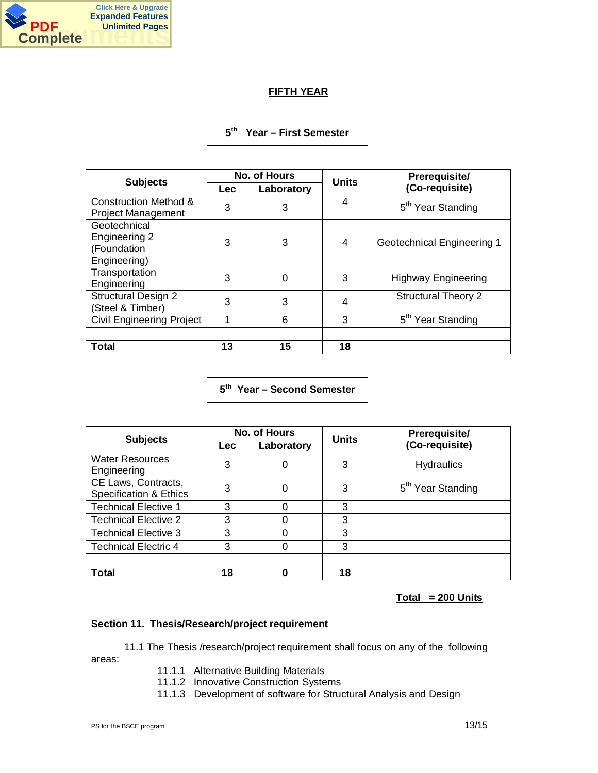

# **FIFTH YEAR**

**5 th Year – First Semester**

| <b>Subjects</b>                                               | No. of Hours |             | <b>Units</b> | Prerequisite/                           |
|---------------------------------------------------------------|--------------|-------------|--------------|-----------------------------------------|
|                                                               | Lec          | Laboratory  |              | (Co-requisite)                          |
| <b>Construction Method &amp;</b><br><b>Project Management</b> | 3            | 3           | 4            | 5 <sup>th</sup> Year Standing           |
| Geotechnical<br>Engineering 2<br>(Foundation<br>Engineering)  | 3            | 3           | 4            | Geotechnical Engineering 1              |
| Transportation<br>Engineering                                 | 3            | $\mathbf 0$ | 3            | <b>Highway Engineering</b>              |
| <b>Structural Design 2</b><br>(Steel & Timber)                | 3            | 3           | 4            | <b>Structural Theory 2</b>              |
| <b>Civil Engineering Project</b>                              |              | 6           | 3            | $5^{\text{th}}$<br><b>Year Standing</b> |
|                                                               |              |             |              |                                         |
| Total                                                         | 13           | 15          | 18           |                                         |

**5 th Year – Second Semester**

| <b>Subjects</b>                                          | No. of Hours |            | <b>Units</b> | Prerequisite/                 |
|----------------------------------------------------------|--------------|------------|--------------|-------------------------------|
|                                                          | <b>Lec</b>   | Laboratory |              | (Co-requisite)                |
| <b>Water Resources</b><br>Engineering                    | 3            | 0          | 3            | <b>Hydraulics</b>             |
| CE Laws, Contracts,<br><b>Specification &amp; Ethics</b> | 3            | 0          | 3            | 5 <sup>th</sup> Year Standing |
| <b>Technical Elective 1</b>                              | 3            |            | 3            |                               |
| <b>Technical Elective 2</b>                              | 3            |            | 3            |                               |
| <b>Technical Elective 3</b>                              | 3            |            | 3            |                               |
| <b>Technical Electric 4</b>                              | 3            |            | 3            |                               |
|                                                          |              |            |              |                               |
| <b>Total</b>                                             | 18           |            | 18           |                               |

**Total = 200 Units**

# **Section 11. Thesis/Research/project requirement**

11.1 The Thesis /research/project requirement shall focus on any of the following areas:

- 11.1.1 Alternative Building Materials
- 11.1.2 Innovative Construction Systems
- 11.1.3 Development of software for Structural Analysis and Design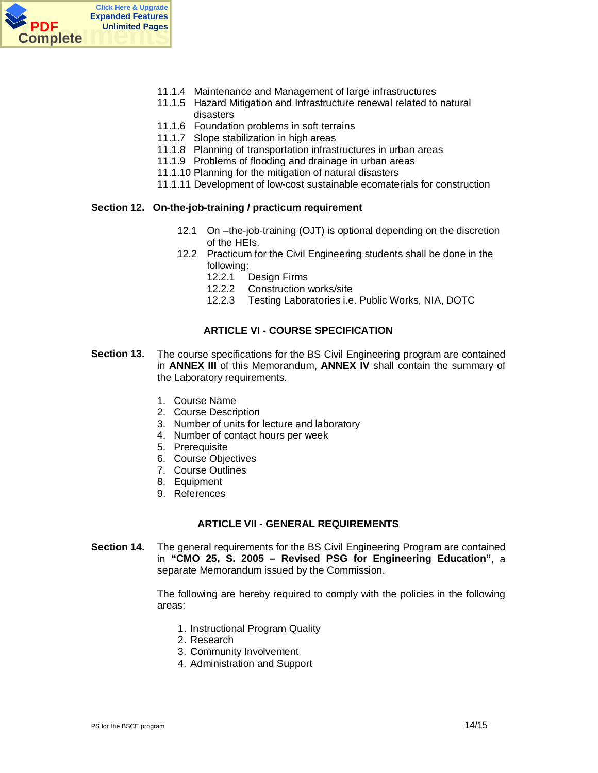

- 11.1.4 Maintenance and Management of large infrastructures
- 11.1.5 Hazard Mitigation and Infrastructure renewal related to natural disasters
- 11.1.6 Foundation problems in soft terrains
- 11.1.7 Slope stabilization in high areas
- 11.1.8 Planning of transportation infrastructures in urban areas
- 11.1.9 Problems of flooding and drainage in urban areas
- 11.1.10 Planning for the mitigation of natural disasters
- 11.1.11 Development of low-cost sustainable ecomaterials for construction

#### **Section 12. On-the-job-training / practicum requirement**

- 12.1 On –the-job-training (OJT) is optional depending on the discretion of the HEIs.
- 12.2 Practicum for the Civil Engineering students shall be done in the following:
	- 12.2.1 Design Firms
	- 12.2.2 Construction works/site
	- 12.2.3 Testing Laboratories i.e. Public Works, NIA, DOTC

# **ARTICLE VI - COURSE SPECIFICATION**

- **Section 13.** The course specifications for the BS Civil Engineering program are contained in **ANNEX III** of this Memorandum, **ANNEX IV** shall contain the summary of the Laboratory requirements.
	- 1. Course Name
	- 2. Course Description
	- 3. Number of units for lecture and laboratory
	- 4. Number of contact hours per week
	- 5. Prerequisite
	- 6. Course Objectives
	- 7. Course Outlines
	- 8. Equipment
	- 9. References

#### **ARTICLE VII - GENERAL REQUIREMENTS**

**Section 14.** The general requirements for the BS Civil Engineering Program are contained in **"CMO 25, S. 2005 – Revised PSG for Engineering Education"**, a separate Memorandum issued by the Commission.

> The following are hereby required to comply with the policies in the following areas:

- 1. Instructional Program Quality
- 2. Research
- 3. Community Involvement
- 4. Administration and Support